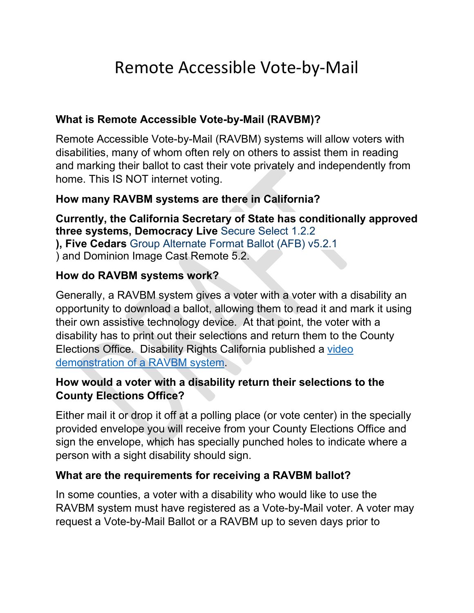# Remote Accessible Vote-by-Mail

### **What is Remote Accessible Vote-by-Mail (RAVBM)?**

Remote Accessible Vote-by-Mail (RAVBM) systems will allow voters with disabilities, many of whom often rely on others to assist them in reading and marking their ballot to cast their vote privately and independently from home. This IS NOT internet voting.

# **How many RAVBM systems are there in California?**

**Currently, the California Secretary of State has conditionally approved three systems, Democracy Live** Secure Select 1.2.2 **), Five Cedars** Group Alternate Format Ballot (AFB) v5.2.1 ) and Dominion Image Cast Remote 5.2.

#### **How do RAVBM systems work?**

Generally, a RAVBM system gives a voter with a voter with a disability an opportunity to download a ballot, allowing them to read it and mark it using their own assistive technology device. At that point, the voter with a disability has to print out their selections and return them to the County Elections Office. Disability Rights California published a [video](https://www.youtube.com/watch?v=54-Xbg5Nbg4)  [demonstration of a RAVBM system.](https://www.youtube.com/watch?v=54-Xbg5Nbg4)

# **How would a voter with a disability return their selections to the County Elections Office?**

Either mail it or drop it off at a polling place (or vote center) in the specially provided envelope you will receive from your County Elections Office and sign the envelope, which has specially punched holes to indicate where a person with a sight disability should sign.

#### **What are the requirements for receiving a RAVBM ballot?**

In some counties, a voter with a disability who would like to use the RAVBM system must have registered as a Vote-by-Mail voter. A voter may request a Vote-by-Mail Ballot or a RAVBM up to seven days prior to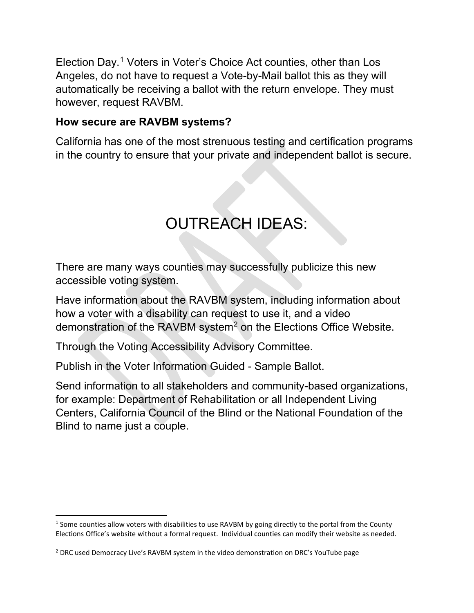Election Day.[1](#page-1-0) Voters in Voter's Choice Act counties, other than Los Angeles, do not have to request a Vote-by-Mail ballot this as they will automatically be receiving a ballot with the return envelope. They must however, request RAVBM.

#### **How secure are RAVBM systems?**

California has one of the most strenuous testing and certification programs in the country to ensure that your private and independent ballot is secure.

# OUTREACH IDEAS:

There are many ways counties may successfully publicize this new accessible voting system.

Have information about the RAVBM system, including information about how a voter with a disability can request to use it, and a video demonstration of the RAVBM system $^2$  $^2$  on the Elections Office Website.

Through the Voting Accessibility Advisory Committee.

Publish in the Voter Information Guided - Sample Ballot.

Send information to all stakeholders and community-based organizations, for example: Department of Rehabilitation or all Independent Living Centers, California Council of the Blind or the National Foundation of the Blind to name just a couple.

<span id="page-1-0"></span> $1$  Some counties allow voters with disabilities to use RAVBM by going directly to the portal from the County Elections Office's website without a formal request. Individual counties can modify their website as needed.

<span id="page-1-1"></span><sup>2</sup> DRC used Democracy Live's RAVBM system in the video demonstration on DRC's YouTube page